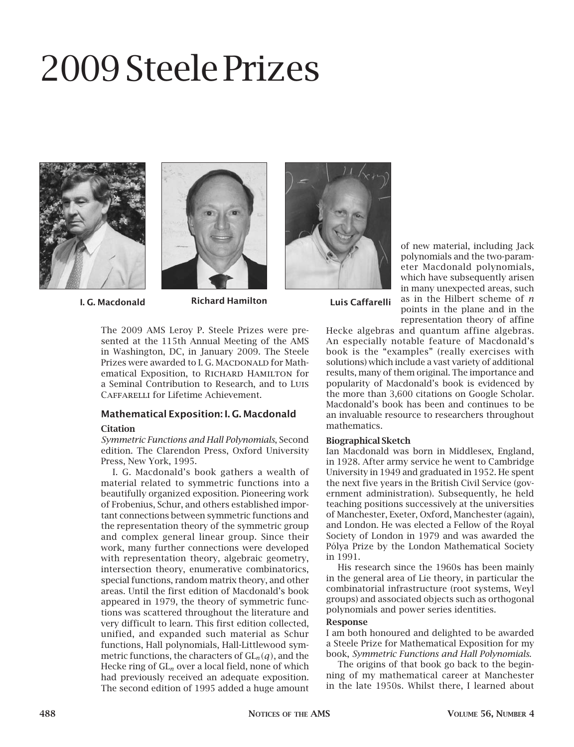# 2009 Steele Prizes







I. G. Macdonald Richard Hamilton Luis Caffarelli

The 2009 AMS Leroy P. Steele Prizes were presented at the 115th Annual Meeting of the AMS in Washington, DC, in January 2009. The Steele Prizes were awarded to I. G. MACDONALD for Mathematical Exposition, to RICHARD HAMILTON for a Seminal Contribution to Research, and to Luis Caffarelli for Lifetime Achievement.

# Mathematical Exposition: I. G. Macdonald

# **Citation**

*Symmetric Functions and Hall Polynomials*, Second edition. The Clarendon Press, Oxford University Press, New York, 1995.

I. G. Macdonald's book gathers a wealth of material related to symmetric functions into a beautifully organized exposition. Pioneering work of Frobenius, Schur, and others established important connections between symmetric functions and the representation theory of the symmetric group and complex general linear group. Since their work, many further connections were developed with representation theory, algebraic geometry, intersection theory, enumerative combinatorics, special functions, random matrix theory, and other areas. Until the first edition of Macdonald's book appeared in 1979, the theory of symmetric functions was scattered throughout the literature and very difficult to learn. This first edition collected, unified, and expanded such material as Schur functions, Hall polynomials, Hall-Littlewood symmetric functions, the characters of  $GL_n(q)$ , and the Hecke ring of GL*n* over a local field, none of which had previously received an adequate exposition. The second edition of 1995 added a huge amount of new material, including Jack polynomials and the two-parameter Macdonald polynomials, which have subsequently arisen in many unexpected areas, such as in the Hilbert scheme of *n* points in the plane and in the representation theory of affine

Hecke algebras and quantum affine algebras. An especially notable feature of Macdonald's book is the "examples" (really exercises with solutions) which include a vast variety of additional results, many of them original. The importance and popularity of Macdonald's book is evidenced by the more than 3,600 citations on Google Scholar. Macdonald's book has been and continues to be

an invaluable resource to researchers throughout

# Biographical Sketch

mathematics.

Ian Macdonald was born in Middlesex, England, in 1928. After army service he went to Cambridge University in 1949 and graduated in 1952. He spent the next five years in the British Civil Service (government administration). Subsequently, he held teaching positions successively at the universities of Manchester, Exeter, Oxford, Manchester (again), and London. He was elected a Fellow of the Royal Society of London in 1979 and was awarded the Pólya Prize by the London Mathematical Society in 1991.

His research since the 1960s has been mainly in the general area of Lie theory, in particular the combinatorial infrastructure (root systems, Weyl groups) and associated objects such as orthogonal polynomials and power series identities.

# Response

I am both honoured and delighted to be awarded a Steele Prize for Mathematical Exposition for my book, *Symmetric Functions and Hall Polynomials*.

The origins of that book go back to the beginning of my mathematical career at Manchester in the late 1950s. Whilst there, I learned about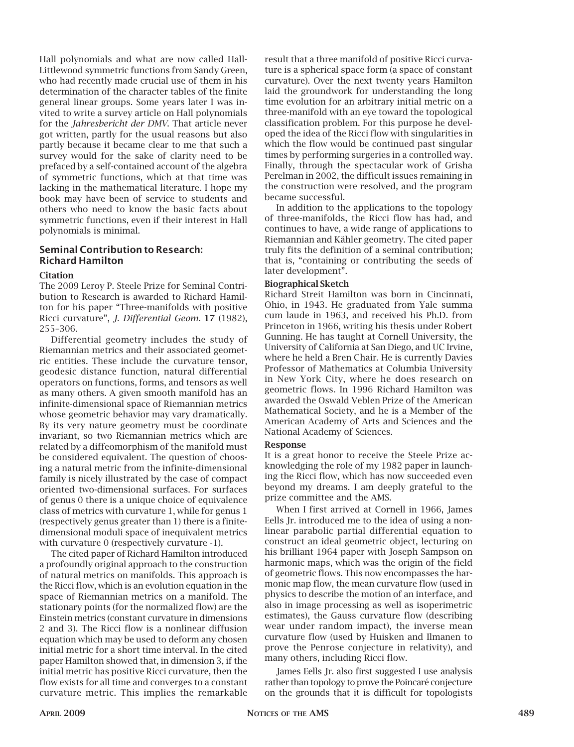Hall polynomials and what are now called Hall-Littlewood symmetric functions from Sandy Green, who had recently made crucial use of them in his determination of the character tables of the finite general linear groups. Some years later I was invited to write a survey article on Hall polynomials for the *Jahresbericht der DMV*. That article never got written, partly for the usual reasons but also partly because it became clear to me that such a survey would for the sake of clarity need to be prefaced by a self-contained account of the algebra of symmetric functions, which at that time was lacking in the mathematical literature. I hope my book may have been of service to students and others who need to know the basic facts about symmetric functions, even if their interest in Hall polynomials is minimal.

# Seminal Contribution to Research: Richard Hamilton

# Citation

The 2009 Leroy P. Steele Prize for Seminal Contribution to Research is awarded to Richard Hamilton for his paper "Three-manifolds with positive Ricci curvature", *J. Differential Geom.* 17 (1982), 255–306.

Differential geometry includes the study of Riemannian metrics and their associated geometric entities. These include the curvature tensor, geodesic distance function, natural differential operators on functions, forms, and tensors as well as many others. A given smooth manifold has an infinite-dimensional space of Riemannian metrics whose geometric behavior may vary dramatically. By its very nature geometry must be coordinate invariant, so two Riemannian metrics which are related by a diffeomorphism of the manifold must be considered equivalent. The question of choosing a natural metric from the infinite-dimensional family is nicely illustrated by the case of compact oriented two-dimensional surfaces. For surfaces of genus 0 there is a unique choice of equivalence class of metrics with curvature 1, while for genus 1 (respectively genus greater than 1) there is a finitedimensional moduli space of inequivalent metrics with curvature 0 (respectively curvature -1).

The cited paper of Richard Hamilton introduced a profoundly original approach to the construction of natural metrics on manifolds. This approach is the Ricci flow, which is an evolution equation in the space of Riemannian metrics on a manifold. The stationary points (for the normalized flow) are the Einstein metrics (constant curvature in dimensions 2 and 3). The Ricci flow is a nonlinear diffusion equation which may be used to deform any chosen initial metric for a short time interval. In the cited paper Hamilton showed that, in dimension 3, if the initial metric has positive Ricci curvature, then the flow exists for all time and converges to a constant curvature metric. This implies the remarkable result that a three manifold of positive Ricci curvature is a spherical space form (a space of constant curvature). Over the next twenty years Hamilton laid the groundwork for understanding the long time evolution for an arbitrary initial metric on a three-manifold with an eye toward the topological classification problem. For this purpose he developed the idea of the Ricci flow with singularities in which the flow would be continued past singular times by performing surgeries in a controlled way. Finally, through the spectacular work of Grisha Perelman in 2002, the difficult issues remaining in the construction were resolved, and the program became successful.

In addition to the applications to the topology of three-manifolds, the Ricci flow has had, and continues to have, a wide range of applications to Riemannian and Kähler geometry. The cited paper truly fits the definition of a seminal contribution; that is, "containing or contributing the seeds of later development".

#### Biographical Sketch

Richard Streit Hamilton was born in Cincinnati, Ohio, in 1943. He graduated from Yale summa cum laude in 1963, and received his Ph.D. from Princeton in 1966, writing his thesis under Robert Gunning. He has taught at Cornell University, the University of California at San Diego, and UC Irvine, where he held a Bren Chair. He is currently Davies Professor of Mathematics at Columbia University in New York City, where he does research on geometric flows. In 1996 Richard Hamilton was awarded the Oswald Veblen Prize of the American Mathematical Society, and he is a Member of the American Academy of Arts and Sciences and the National Academy of Sciences.

#### Response

It is a great honor to receive the Steele Prize acknowledging the role of my 1982 paper in launching the Ricci flow, which has now succeeded even beyond my dreams. I am deeply grateful to the prize committee and the AMS.

When I first arrived at Cornell in 1966, James Eells Jr. introduced me to the idea of using a nonlinear parabolic partial differential equation to construct an ideal geometric object, lecturing on his brilliant 1964 paper with Joseph Sampson on harmonic maps, which was the origin of the field of geometric flows. This now encompasses the harmonic map flow, the mean curvature flow (used in physics to describe the motion of an interface, and also in image processing as well as isoperimetric estimates), the Gauss curvature flow (describing wear under random impact), the inverse mean curvature flow (used by Huisken and Ilmanen to prove the Penrose conjecture in relativity), and many others, including Ricci flow.

James Eells Jr. also first suggested I use analysis rather than topology to prove the Poincaré conjecture on the grounds that it is difficult for topologists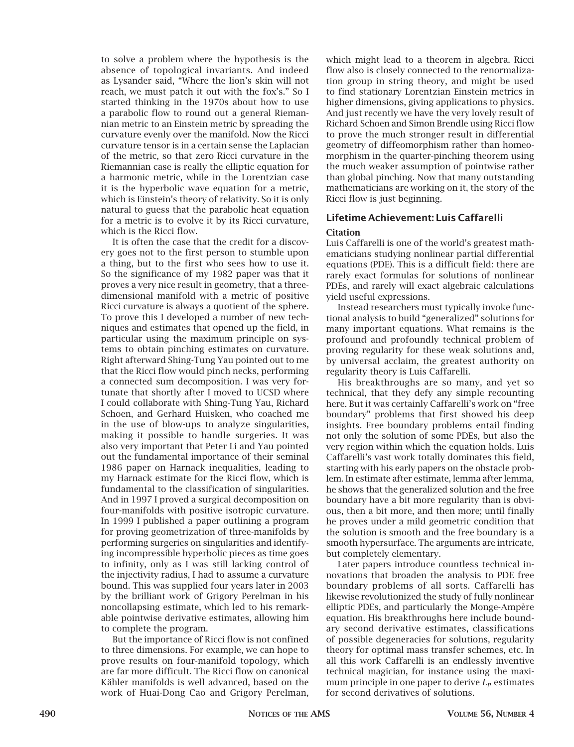to solve a problem where the hypothesis is the absence of topological invariants. And indeed as Lysander said, "Where the lion's skin will not reach, we must patch it out with the fox's." So I started thinking in the 1970s about how to use a parabolic flow to round out a general Riemannian metric to an Einstein metric by spreading the curvature evenly over the manifold. Now the Ricci curvature tensor is in a certain sense the Laplacian of the metric, so that zero Ricci curvature in the Riemannian case is really the elliptic equation for a harmonic metric, while in the Lorentzian case it is the hyperbolic wave equation for a metric, which is Einstein's theory of relativity. So it is only natural to guess that the parabolic heat equation for a metric is to evolve it by its Ricci curvature, which is the Ricci flow.

It is often the case that the credit for a discovery goes not to the first person to stumble upon a thing, but to the first who sees how to use it. So the significance of my 1982 paper was that it proves a very nice result in geometry, that a threedimensional manifold with a metric of positive Ricci curvature is always a quotient of the sphere. To prove this I developed a number of new techniques and estimates that opened up the field, in particular using the maximum principle on systems to obtain pinching estimates on curvature. Right afterward Shing-Tung Yau pointed out to me that the Ricci flow would pinch necks, performing a connected sum decomposition. I was very fortunate that shortly after I moved to UCSD where I could collaborate with Shing-Tung Yau, Richard Schoen, and Gerhard Huisken, who coached me in the use of blow-ups to analyze singularities, making it possible to handle surgeries. It was also very important that Peter Li and Yau pointed out the fundamental importance of their seminal 1986 paper on Harnack inequalities, leading to my Harnack estimate for the Ricci flow, which is fundamental to the classification of singularities. And in 1997 I proved a surgical decomposition on four-manifolds with positive isotropic curvature. In 1999 I published a paper outlining a program for proving geometrization of three-manifolds by performing surgeries on singularities and identifying incompressible hyperbolic pieces as time goes to infinity, only as I was still lacking control of the injectivity radius, I had to assume a curvature bound. This was supplied four years later in 2003 by the brilliant work of Grigory Perelman in his noncollapsing estimate, which led to his remarkable pointwise derivative estimates, allowing him to complete the program.

But the importance of Ricci flow is not confined to three dimensions. For example, we can hope to prove results on four-manifold topology, which are far more difficult. The Ricci flow on canonical Kähler manifolds is well advanced, based on the work of Huai-Dong Cao and Grigory Perelman,

which might lead to a theorem in algebra. Ricci flow also is closely connected to the renormalization group in string theory, and might be used to find stationary Lorentzian Einstein metrics in higher dimensions, giving applications to physics. And just recently we have the very lovely result of Richard Schoen and Simon Brendle using Ricci flow to prove the much stronger result in differential geometry of diffeomorphism rather than homeomorphism in the quarter-pinching theorem using the much weaker assumption of pointwise rather than global pinching. Now that many outstanding mathematicians are working on it, the story of the Ricci flow is just beginning.

# Lifetime Achievement: Luis Caffarelli

# **Citation**

Luis Caffarelli is one of the world's greatest mathematicians studying nonlinear partial differential equations (PDE). This is a difficult field: there are rarely exact formulas for solutions of nonlinear PDEs, and rarely will exact algebraic calculations yield useful expressions.

Instead researchers must typically invoke functional analysis to build "generalized" solutions for many important equations. What remains is the profound and profoundly technical problem of proving regularity for these weak solutions and, by universal acclaim, the greatest authority on regularity theory is Luis Caffarelli.

His breakthroughs are so many, and yet so technical, that they defy any simple recounting here. But it was certainly Caffarelli's work on "free boundary" problems that first showed his deep insights. Free boundary problems entail finding not only the solution of some PDEs, but also the very region within which the equation holds. Luis Caffarelli's vast work totally dominates this field, starting with his early papers on the obstacle problem. In estimate after estimate, lemma after lemma, he shows that the generalized solution and the free boundary have a bit more regularity than is obvious, then a bit more, and then more; until finally he proves under a mild geometric condition that the solution is smooth and the free boundary is a smooth hypersurface. The arguments are intricate, but completely elementary.

Later papers introduce countless technical innovations that broaden the analysis to PDE free boundary problems of all sorts. Caffarelli has likewise revolutionized the study of fully nonlinear elliptic PDEs, and particularly the Monge-Ampère equation. His breakthroughs here include boundary second derivative estimates, classifications of possible degeneracies for solutions, regularity theory for optimal mass transfer schemes, etc. In all this work Caffarelli is an endlessly inventive technical magician, for instance using the maximum principle in one paper to derive  $L_p$  estimates for second derivatives of solutions.